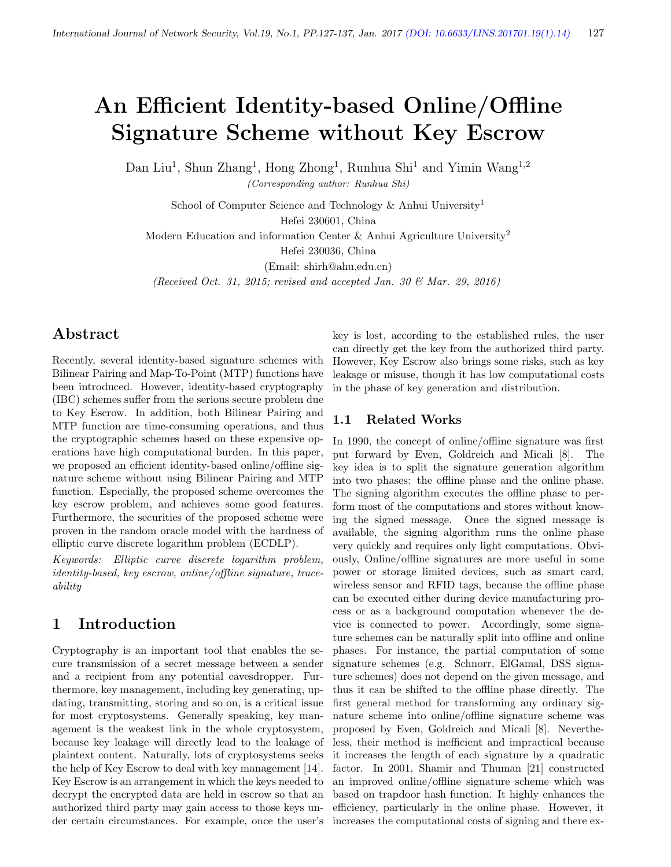# An Efficient Identity-based Online/Offline Signature Scheme without Key Escrow

Dan Liu<sup>1</sup>, Shun Zhang<sup>1</sup>, Hong Zhong<sup>1</sup>, Runhua Shi<sup>1</sup> and Yimin Wang<sup>1,2</sup>

(Corresponding author: Runhua Shi)

School of Computer Science and Technology & Anhui University<sup>1</sup> Hefei 230601, China

Modern Education and information Center & Anhui Agriculture University<sup>2</sup>

Hefei 230036, China

(Email: shirh@ahu.edu.cn)

(Received Oct. 31, 2015; revised and accepted Jan. 30 & Mar. 29, 2016)

# Abstract

Recently, several identity-based signature schemes with Bilinear Pairing and Map-To-Point (MTP) functions have been introduced. However, identity-based cryptography (IBC) schemes suffer from the serious secure problem due to Key Escrow. In addition, both Bilinear Pairing and MTP function are time-consuming operations, and thus the cryptographic schemes based on these expensive operations have high computational burden. In this paper, we proposed an efficient identity-based online/offline signature scheme without using Bilinear Pairing and MTP function. Especially, the proposed scheme overcomes the key escrow problem, and achieves some good features. Furthermore, the securities of the proposed scheme were proven in the random oracle model with the hardness of elliptic curve discrete logarithm problem (ECDLP).

Keywords: Elliptic curve discrete logarithm problem, identity-based, key escrow, online/offline signature, traceability

# 1 Introduction

Cryptography is an important tool that enables the secure transmission of a secret message between a sender and a recipient from any potential eavesdropper. Furthermore, key management, including key generating, updating, transmitting, storing and so on, is a critical issue for most cryptosystems. Generally speaking, key management is the weakest link in the whole cryptosystem, because key leakage will directly lead to the leakage of plaintext content. Naturally, lots of cryptosystems seeks the help of Key Escrow to deal with key management [14]. Key Escrow is an arrangement in which the keys needed to decrypt the encrypted data are held in escrow so that an authorized third party may gain access to those keys under certain circumstances. For example, once the user's

key is lost, according to the established rules, the user can directly get the key from the authorized third party. However, Key Escrow also brings some risks, such as key leakage or misuse, though it has low computational costs in the phase of key generation and distribution.

### 1.1 Related Works

In 1990, the concept of online/offline signature was first put forward by Even, Goldreich and Micali [8]. The key idea is to split the signature generation algorithm into two phases: the offline phase and the online phase. The signing algorithm executes the offline phase to perform most of the computations and stores without knowing the signed message. Once the signed message is available, the signing algorithm runs the online phase very quickly and requires only light computations. Obviously, Online/offline signatures are more useful in some power or storage limited devices, such as smart card, wireless sensor and RFID tags, because the offline phase can be executed either during device manufacturing process or as a background computation whenever the device is connected to power. Accordingly, some signature schemes can be naturally split into offline and online phases. For instance, the partial computation of some signature schemes (e.g. Schnorr, ElGamal, DSS signature schemes) does not depend on the given message, and thus it can be shifted to the offline phase directly. The first general method for transforming any ordinary signature scheme into online/offline signature scheme was proposed by Even, Goldreich and Micali [8]. Nevertheless, their method is inefficient and impractical because it increases the length of each signature by a quadratic factor. In 2001, Shamir and Thuman [21] constructed an improved online/offline signature scheme which was based on trapdoor hash function. It highly enhances the efficiency, particularly in the online phase. However, it increases the computational costs of signing and there ex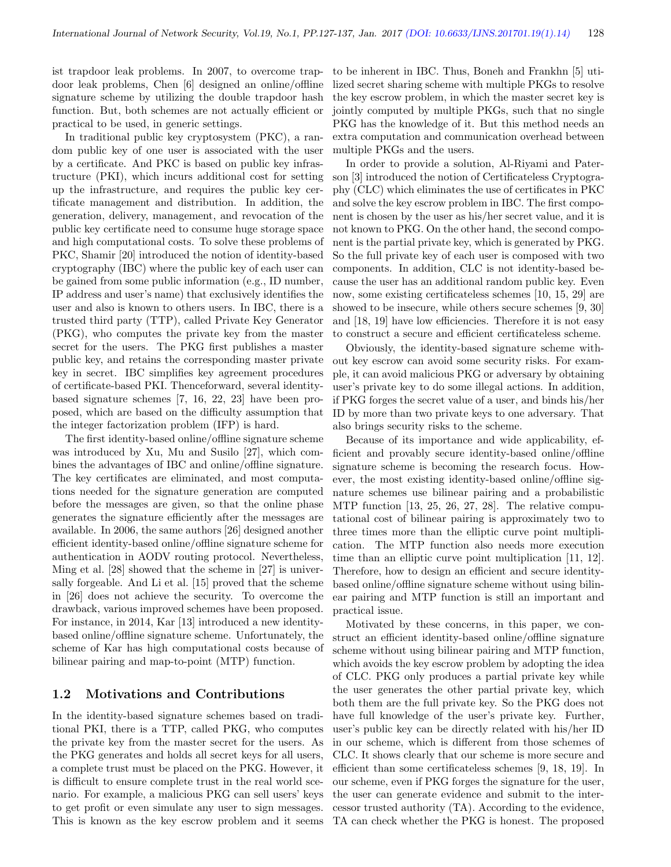ist trapdoor leak problems. In 2007, to overcome trapdoor leak problems, Chen [6] designed an online/offline signature scheme by utilizing the double trapdoor hash function. But, both schemes are not actually efficient or practical to be used, in generic settings.

In traditional public key cryptosystem (PKC), a random public key of one user is associated with the user by a certificate. And PKC is based on public key infrastructure (PKI), which incurs additional cost for setting up the infrastructure, and requires the public key certificate management and distribution. In addition, the generation, delivery, management, and revocation of the public key certificate need to consume huge storage space and high computational costs. To solve these problems of PKC, Shamir [20] introduced the notion of identity-based cryptography (IBC) where the public key of each user can be gained from some public information (e.g., ID number, IP address and user's name) that exclusively identifies the user and also is known to others users. In IBC, there is a trusted third party (TTP), called Private Key Generator (PKG), who computes the private key from the master secret for the users. The PKG first publishes a master public key, and retains the corresponding master private key in secret. IBC simplifies key agreement procedures of certificate-based PKI. Thenceforward, several identitybased signature schemes [7, 16, 22, 23] have been proposed, which are based on the difficulty assumption that the integer factorization problem (IFP) is hard.

The first identity-based online/offline signature scheme was introduced by Xu, Mu and Susilo [27], which combines the advantages of IBC and online/offline signature. The key certificates are eliminated, and most computations needed for the signature generation are computed before the messages are given, so that the online phase generates the signature efficiently after the messages are available. In 2006, the same authors [26] designed another efficient identity-based online/offline signature scheme for authentication in AODV routing protocol. Nevertheless, Ming et al. [28] showed that the scheme in [27] is universally forgeable. And Li et al. [15] proved that the scheme in [26] does not achieve the security. To overcome the drawback, various improved schemes have been proposed. For instance, in 2014, Kar [13] introduced a new identitybased online/offline signature scheme. Unfortunately, the scheme of Kar has high computational costs because of bilinear pairing and map-to-point (MTP) function.

#### 1.2 Motivations and Contributions

In the identity-based signature schemes based on traditional PKI, there is a TTP, called PKG, who computes the private key from the master secret for the users. As the PKG generates and holds all secret keys for all users, a complete trust must be placed on the PKG. However, it is difficult to ensure complete trust in the real world scenario. For example, a malicious PKG can sell users' keys to get profit or even simulate any user to sign messages. This is known as the key escrow problem and it seems

to be inherent in IBC. Thus, Boneh and Frankhn [5] utilized secret sharing scheme with multiple PKGs to resolve the key escrow problem, in which the master secret key is jointly computed by multiple PKGs, such that no single PKG has the knowledge of it. But this method needs an extra computation and communication overhead between multiple PKGs and the users.

In order to provide a solution, Al-Riyami and Paterson [3] introduced the notion of Certificateless Cryptography (CLC) which eliminates the use of certificates in PKC and solve the key escrow problem in IBC. The first component is chosen by the user as his/her secret value, and it is not known to PKG. On the other hand, the second component is the partial private key, which is generated by PKG. So the full private key of each user is composed with two components. In addition, CLC is not identity-based because the user has an additional random public key. Even now, some existing certificateless schemes [10, 15, 29] are showed to be insecure, while others secure schemes [9, 30] and [18, 19] have low efficiencies. Therefore it is not easy to construct a secure and efficient certificateless scheme.

Obviously, the identity-based signature scheme without key escrow can avoid some security risks. For example, it can avoid malicious PKG or adversary by obtaining user's private key to do some illegal actions. In addition, if PKG forges the secret value of a user, and binds his/her ID by more than two private keys to one adversary. That also brings security risks to the scheme.

Because of its importance and wide applicability, efficient and provably secure identity-based online/offline signature scheme is becoming the research focus. However, the most existing identity-based online/offline signature schemes use bilinear pairing and a probabilistic MTP function [13, 25, 26, 27, 28]. The relative computational cost of bilinear pairing is approximately two to three times more than the elliptic curve point multiplication. The MTP function also needs more execution time than an elliptic curve point multiplication [11, 12]. Therefore, how to design an efficient and secure identitybased online/offline signature scheme without using bilinear pairing and MTP function is still an important and practical issue.

Motivated by these concerns, in this paper, we construct an efficient identity-based online/offline signature scheme without using bilinear pairing and MTP function, which avoids the key escrow problem by adopting the idea of CLC. PKG only produces a partial private key while the user generates the other partial private key, which both them are the full private key. So the PKG does not have full knowledge of the user's private key. Further, user's public key can be directly related with his/her ID in our scheme, which is different from those schemes of CLC. It shows clearly that our scheme is more secure and efficient than some certificateless schemes [9, 18, 19]. In our scheme, even if PKG forges the signature for the user, the user can generate evidence and submit to the intercessor trusted authority (TA). According to the evidence, TA can check whether the PKG is honest. The proposed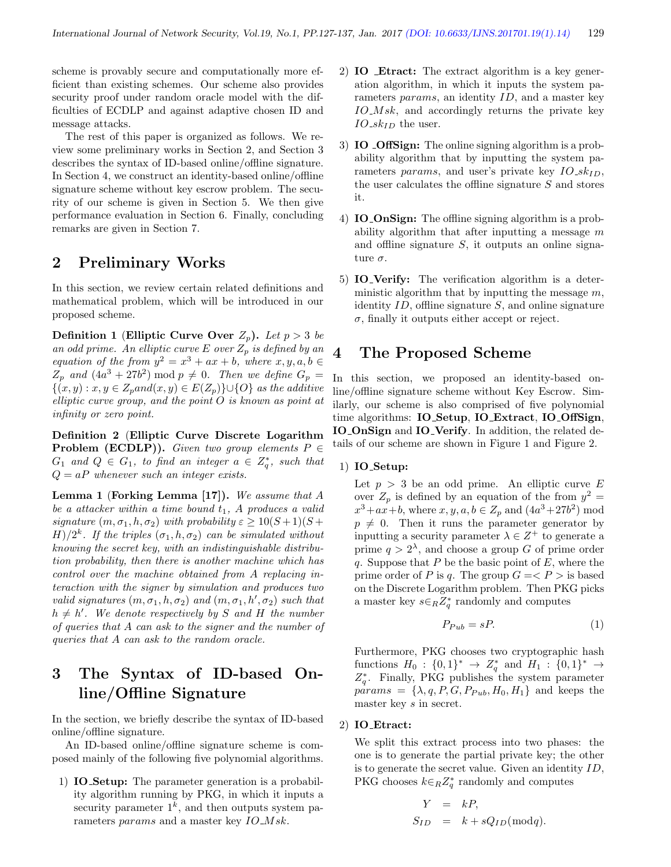scheme is provably secure and computationally more efficient than existing schemes. Our scheme also provides security proof under random oracle model with the difficulties of ECDLP and against adaptive chosen ID and message attacks.

The rest of this paper is organized as follows. We review some preliminary works in Section 2, and Section 3 describes the syntax of ID-based online/offline signature. In Section 4, we construct an identity-based online/offline signature scheme without key escrow problem. The security of our scheme is given in Section 5. We then give performance evaluation in Section 6. Finally, concluding remarks are given in Section 7.

### 2 Preliminary Works

In this section, we review certain related definitions and mathematical problem, which will be introduced in our proposed scheme.

Definition 1 (Elliptic Curve Over  $Z_p$ ). Let  $p > 3$  be an odd prime. An elliptic curve E over  $Z_p$  is defined by an equation of the from  $y^2 = x^3 + ax + b$ , where  $x, y, a, b \in$  $Z_p$  and  $(4a^3 + 27b^2) \text{ mod } p \neq 0$ . Then we define  $G_p =$  $\{(x, y) : x, y \in Z_p and (x, y) \in E(Z_p)\} \cup \{O\}$  as the additive elliptic curve group, and the point O is known as point at infinity or zero point.

Definition 2 (Elliptic Curve Discrete Logarithm **Problem (ECDLP)).** Given two group elements  $P \in$  $G_1$  and  $Q \in G_1$ , to find an integer  $a \in Z_q^*$ , such that  $Q = aP$  whenever such an integer exists.

Lemma 1 (Forking Lemma [17]). We assume that A be a attacker within a time bound  $t_1$ , A produces a valid signature  $(m, \sigma_1, h, \sigma_2)$  with probability  $\varepsilon \geq 10(S+1)(S+$  $H)/2^k$ . If the triples  $(\sigma_1, h, \sigma_2)$  can be simulated without knowing the secret key, with an indistinguishable distribution probability, then there is another machine which has control over the machine obtained from A replacing interaction with the signer by simulation and produces two valid signatures  $(m, \sigma_1, h, \sigma_2)$  and  $(m, \sigma_1, h', \sigma_2)$  such that  $h \neq h'$ . We denote respectively by S and H the number of queries that A can ask to the signer and the number of queries that A can ask to the random oracle.

# 3 The Syntax of ID-based Online/Offline Signature

In the section, we briefly describe the syntax of ID-based online/offline signature.

An ID-based online/offline signature scheme is composed mainly of the following five polynomial algorithms.

1) IO Setup: The parameter generation is a probability algorithm running by PKG, in which it inputs a security parameter  $1^k$ , and then outputs system parameters params and a master key IO\_Msk.

- 2) IO Etract: The extract algorithm is a key generation algorithm, in which it inputs the system parameters params, an identity ID, and a master key  $IO$ <sub>*Msk*, and accordingly returns the private key</sub>  $IO\_sk_{ID}$  the user.
- 3) IO OffSign: The online signing algorithm is a probability algorithm that by inputting the system parameters params, and user's private key  $IO\_sk_{ID}$ , the user calculates the offline signature S and stores it.
- 4) **IO\_OnSign:** The offline signing algorithm is a probability algorithm that after inputting a message  $m$ and offline signature  $S$ , it outputs an online signature  $\sigma$ .
- 5) IO Verify: The verification algorithm is a deterministic algorithm that by inputting the message  $m$ , identity  $ID$ , offline signature  $S$ , and online signature  $\sigma$ , finally it outputs either accept or reject.

### 4 The Proposed Scheme

In this section, we proposed an identity-based online/offline signature scheme without Key Escrow. Similarly, our scheme is also comprised of five polynomial time algorithms: IO Setup, IO Extract, IO OffSign, IO OnSign and IO Verify. In addition, the related details of our scheme are shown in Figure 1 and Figure 2.

#### 1) IO Setup:

Let  $p > 3$  be an odd prime. An elliptic curve E over  $Z_p$  is defined by an equation of the from  $y^2 =$  $x^3 + ax + b$ , where  $x, y, a, b \in Z_p$  and  $(4a^3 + 27b^2)$  mod  $p \neq 0$ . Then it runs the parameter generator by inputting a security parameter  $\lambda \in \mathbb{Z}^+$  to generate a prime  $q > 2^{\lambda}$ , and choose a group G of prime order q. Suppose that  $P$  be the basic point of  $E$ , where the prime order of P is q. The group  $G = \langle P \rangle$  is based on the Discrete Logarithm problem. Then PKG picks a master key  $s \in_R Z_q^*$  randomly and computes

$$
P_{Pub} = sP.
$$
 (1)

Furthermore, PKG chooses two cryptographic hash functions  $H_0: \{0,1\}^* \to Z_q^*$  and  $H_1: \{0,1\}^* \to$  $Z_q^*$ . Finally, PKG publishes the system parameter  $params = \{\lambda, q, P, G, P_{Pub}, H_0, H_1\}$  and keeps the master key s in secret.

#### 2) IO Etract:

We split this extract process into two phases: the one is to generate the partial private key; the other is to generate the secret value. Given an identity ID, PKG chooses  $k \in_R Z_q^*$  randomly and computes

$$
Y = kP,
$$
  
\n
$$
S_{ID} = k + sQ_{ID}(\text{mod}q).
$$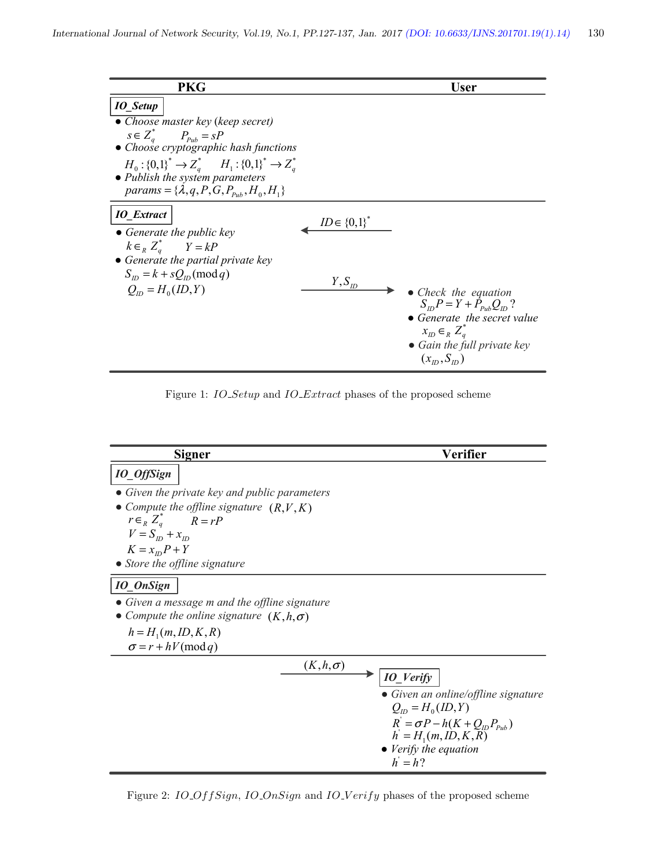| <b>PKG</b>                                                                         |                    | <b>User</b>                         |
|------------------------------------------------------------------------------------|--------------------|-------------------------------------|
| <b>IO</b> Setup                                                                    |                    |                                     |
| • Choose master key (keep secret)                                                  |                    |                                     |
| $s \in Z_a^*$ $P_{p_{uh}} = sP$                                                    |                    |                                     |
| • Choose cryptographic hash functions                                              |                    |                                     |
| $H_0: \{0,1\}^* \to Z_a^*$ $H_1: \{0,1\}^* \to Z_a^*$                              |                    |                                     |
| • Publish the system parameters                                                    |                    |                                     |
| params = { $\lambda$ , q, P, G, $P_{\nu_{ab}}$ , H <sub>0</sub> , H <sub>1</sub> } |                    |                                     |
| <b>IO</b> Extract<br>$\bullet$ Generate the public key                             | $ID \in \{0,1\}^*$ |                                     |
| $k \in R^Z$ $Y = kP$                                                               |                    |                                     |
| $\bullet$ Generate the partial private key                                         |                    |                                     |
| $S_m = k + sQ_m \pmod{q}$                                                          | $Y, S_{ID}$        |                                     |
| $Q_m = H_0(ID, Y)$                                                                 |                    | $\bullet$ Check the equation        |
|                                                                                    |                    | $S_{m}P = Y + P_{p_{ub}}Q_{m}$ ?    |
|                                                                                    |                    | $\bullet$ Generate the secret value |
|                                                                                    |                    | $x_{ID} \in_R Z_a^*$                |
|                                                                                    |                    | $\bullet$ Gain the full private key |
|                                                                                    |                    | $(x_m, S_m)$                        |

Figure 1:  $IO\_Setup$  and  $IO\_Extract$  phases of the proposed scheme

| <b>Signer</b>                                   | <b>Verifier</b>                                                           |
|-------------------------------------------------|---------------------------------------------------------------------------|
| <b>IO_OffSign</b>                               |                                                                           |
| • Given the private key and public parameters   |                                                                           |
| • Compute the offline signature $(R, V, K)$     |                                                                           |
| $r \in_R Z_a^*$ $R = rP$                        |                                                                           |
| $V = S_{1D} + x_{1D}$                           |                                                                           |
| $K = x_m P + Y$                                 |                                                                           |
| • Store the offline signature                   |                                                                           |
| <b>IO_OnSign</b>                                |                                                                           |
| • Given a message m and the offline signature   |                                                                           |
| • Compute the online signature $(K, h, \sigma)$ |                                                                           |
| $h = H_1(m, ID, K, R)$                          |                                                                           |
| $\sigma = r + hV \pmod{q}$                      |                                                                           |
| $(K,h,\sigma)$                                  | <b>IO_Verify</b>                                                          |
|                                                 | $\bullet$ Given an online/offline signature                               |
|                                                 | $Q_m = H_0(ID, Y)$                                                        |
|                                                 | $R^{\prime} = \sigma P - h(K + Q_{ID}P_{Pub})$<br>$h' = H_1(m, ID, K, R)$ |
|                                                 | $\bullet$ Verify the equation                                             |
|                                                 | $h' = h$ ?                                                                |

Figure 2:  $IO\_OffSign$ ,  $IO\_OnSign$  and  $IO\_Verify$  phases of the proposed scheme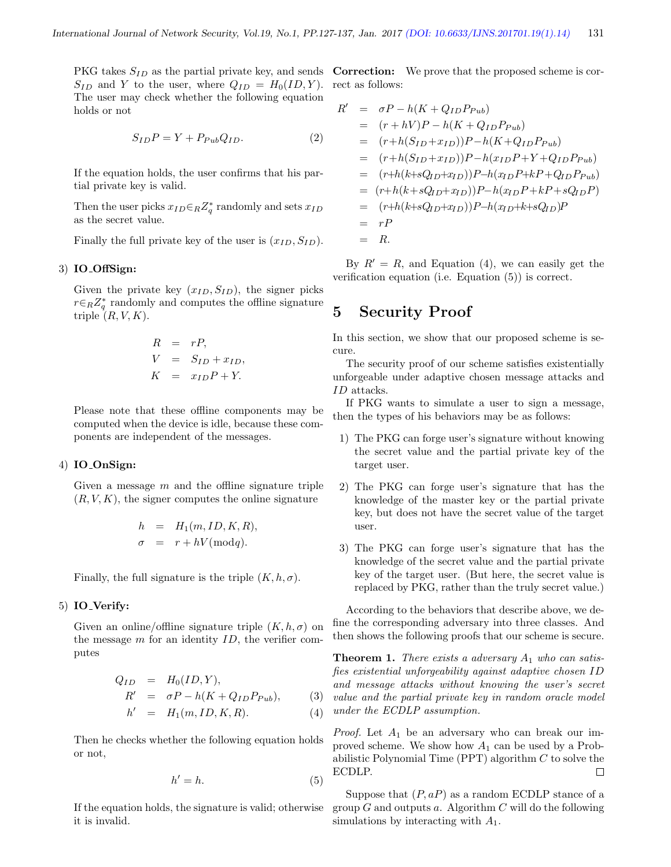$S_{ID}$  and Y to the user, where  $Q_{ID} = H_0(ID, Y)$ . rect as follows: The user may check whether the following equation holds or not

$$
S_{ID}P = Y + P_{Pub}Q_{ID}.
$$
 (2)

If the equation holds, the user confirms that his partial private key is valid.

Then the user picks  $x_{ID} \in R Z_q^*$  randomly and sets  $x_{ID}$ as the secret value.

Finally the full private key of the user is  $(x_{ID}, S_{ID})$ .

#### 3) IO OffSign:

Given the private key  $(x_{ID}, S_{ID})$ , the signer picks  $r \in_R Z_q^*$  randomly and computes the offline signature triple  $(R, V, K)$ .

$$
R = rP,
$$
  
\n
$$
V = S_{ID} + x_{ID},
$$
  
\n
$$
K = x_{ID}P + Y.
$$

Please note that these offline components may be computed when the device is idle, because these components are independent of the messages.

#### 4) IO OnSign:

Given a message  $m$  and the offline signature triple  $(R, V, K)$ , the signer computes the online signature

$$
h = H_1(m, ID, K, R),
$$
  

$$
\sigma = r + hV(\text{mod}q).
$$

Finally, the full signature is the triple  $(K, h, \sigma)$ .

#### 5) IO Verify:

Given an online/offline signature triple  $(K, h, \sigma)$  on the message  $m$  for an identity  $ID$ , the verifier computes

$$
Q_{ID} = H_0(ID, Y),
$$
  
\n
$$
R' = \sigma P - h(K + Q_{ID} P_{Pub}),
$$
\n(3)

$$
h' = H_1(m, ID, K, R). \tag{4}
$$

Then he checks whether the following equation holds or not,

$$
h'=h.\tag{5}
$$

If the equation holds, the signature is valid; otherwise it is invalid.

PKG takes  $S_{ID}$  as the partial private key, and sends **Correction:** We prove that the proposed scheme is cor-

$$
R' = \sigma P - h(K + Q_{ID}P_{Pub})
$$
  
\n
$$
= (r + hV)P - h(K + Q_{ID}P_{Pub})
$$
  
\n
$$
= (r + h(S_{ID} + x_{ID}))P - h(K + Q_{ID}P_{Pub})
$$
  
\n
$$
= (r + h(S_{ID} + x_{ID}))P - h(x_{ID}P + Y + Q_{ID}P_{Pub})
$$
  
\n
$$
= (r + h(k + sQ_{ID} + x_{ID}))P - h(x_{ID}P + kP + Q_{ID}P_{Pub})
$$
  
\n
$$
= (r + h(k + sQ_{ID} + x_{ID}))P - h(x_{ID}P + kP + sQ_{ID}P)
$$
  
\n
$$
= (r + h(k + sQ_{ID} + x_{ID}))P - h(x_{ID} + k + sQ_{ID})P
$$
  
\n
$$
= rP
$$
  
\n
$$
= R.
$$

By  $R' = R$ , and Equation (4), we can easily get the verification equation (i.e. Equation (5)) is correct.

# 5 Security Proof

In this section, we show that our proposed scheme is secure.

The security proof of our scheme satisfies existentially unforgeable under adaptive chosen message attacks and ID attacks.

If PKG wants to simulate a user to sign a message, then the types of his behaviors may be as follows:

- 1) The PKG can forge user's signature without knowing the secret value and the partial private key of the target user.
- 2) The PKG can forge user's signature that has the knowledge of the master key or the partial private key, but does not have the secret value of the target user.
- 3) The PKG can forge user's signature that has the knowledge of the secret value and the partial private key of the target user. (But here, the secret value is replaced by PKG, rather than the truly secret value.)

According to the behaviors that describe above, we define the corresponding adversary into three classes. And then shows the following proofs that our scheme is secure.

**Theorem 1.** There exists a adversary  $A_1$  who can satisfies existential unforgeability against adaptive chosen ID and message attacks without knowing the user's secret value and the partial private key in random oracle model under the ECDLP assumption.

*Proof.* Let  $A_1$  be an adversary who can break our improved scheme. We show how  $A_1$  can be used by a Probabilistic Polynomial Time (PPT) algorithm C to solve the ECDLP.  $\Box$ 

Suppose that  $(P, aP)$  as a random ECDLP stance of a group  $G$  and outputs  $a$ . Algorithm  $C$  will do the following simulations by interacting with  $A_1$ .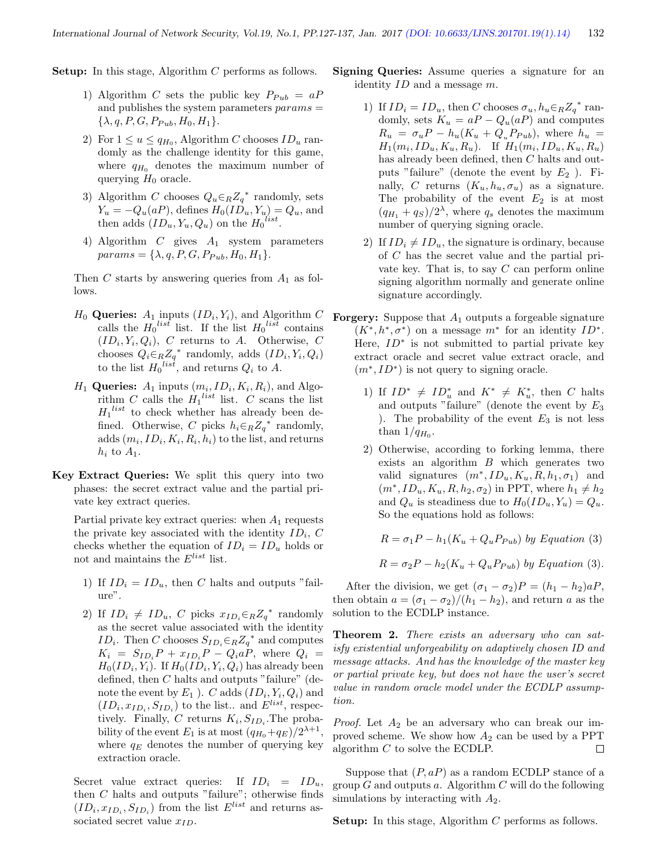Setup: In this stage, Algorithm C performs as follows.

- 1) Algorithm C sets the public key  $P_{Pub} = aP$ and publishes the system parameters  $params =$  $\{\lambda, q, P, G, P_{Pub}, H_0, H_1\}.$
- 2) For  $1 \le u \le q_{H_0}$ , Algorithm C chooses  $ID_u$  randomly as the challenge identity for this game, where  $q_{H_0}$  denotes the maximum number of querying  $H_0$  oracle.
- 3) Algorithm C chooses  $Q_u \in_R Z_q^*$  randomly, sets  $Y_u = -Q_u(aP)$ , defines  $H_0(ID_u, Y_u) = Q_u$ , and then adds  $(ID_u, Y_u, Q_u)$  on the  $H_0^{list}$ .
- 4) Algorithm  $C$  gives  $A_1$  system parameters  $params = \{\lambda, q, P, G, P_{Pub}, H_0, H_1\}.$

Then C starts by answering queries from  $A_1$  as follows.

- $H_0$  Queries:  $A_1$  inputs  $(ID_i, Y_i)$ , and Algorithm C calls the  $H_0^{list}$  list. If the list  $H_0^{list}$  contains  $(ID_i, Y_i, Q_i), C$  returns to A. Otherwise, C chooses  $Q_i \in_R Z_q^*$  randomly, adds  $(ID_i, Y_i, Q_i)$ to the list  $H_0^{list}$ , and returns  $Q_i$  to A.
- $H_1$  Queries:  $A_1$  inputs  $(m_i, ID_i, K_i, R_i)$ , and Algorithm C calls the  $H_1^{list}$  list. C scans the list  $H_1^{list}$  to check whether has already been defined. Otherwise, C picks  $h_i \in_R Z_q^*$  randomly, adds  $(m_i, ID_i, K_i, R_i, h_i)$  to the list, and returns  $h_i$  to  $A_1$ .
- Key Extract Queries: We split this query into two phases: the secret extract value and the partial private key extract queries.

Partial private key extract queries: when  $A_1$  requests the private key associated with the identity  $ID_i$ ,  $C$ checks whether the equation of  $ID_i = ID_u$  holds or not and maintains the  $E^{list}$  list.

- 1) If  $ID_i = ID_u$ , then C halts and outputs "failure".
- 2) If  $ID_i \neq ID_u$ , C picks  $x_{ID_i} \in_R Z_q^*$  randomly as the secret value associated with the identity *ID*<sub>*i*</sub>. Then *C* chooses  $S_{ID_i} \in_R Z_q^*$  and computes  $K_i = S_{ID_i}P + x_{ID_i}P - Q_i aP$ , where  $Q_i =$  $H_0(ID_i, Y_i)$ . If  $H_0(ID_i, Y_i, Q_i)$  has already been defined, then C halts and outputs "failure" (denote the event by  $E_1$  ). C adds  $(ID_i, Y_i, Q_i)$  and  $(ID_i, x_{ID_i}, S_{ID_i})$  to the list.. and  $E^{list}$ , respectively. Finally, C returns  $K_i$ ,  $S_{ID_i}$ . The probability of the event  $E_1$  is at most  $(q_{H_0}+q_E)/2^{\lambda+1}$ , where  $q_E$  denotes the number of querying key extraction oracle.

Secret value extract queries: If  $ID_i = ID_u$ , then  $C$  halts and outputs "failure"; otherwise finds  $(ID_i, x_{ID_i}, S_{ID_i})$  from the list  $E^{list}$  and returns associated secret value  $x_{ID}$ .

- Signing Queries: Assume queries a signature for an identity  $ID$  and a message  $m$ .
	- 1) If  $ID_i = ID_u$ , then C chooses  $\sigma_u, h_u \in_R Z_q^*$  randomly, sets  $K_u = aP - Q_u(aP)$  and computes  $R_u = \sigma_u P - h_u (K_u + Q_u P_{Pub})$ , where  $h_u =$  $H_1(m_i, ID_u, K_u, R_u)$ . If  $H_1(m_i, ID_u, K_u, R_u)$ has already been defined, then C halts and outputs "failure" (denote the event by  $E_2$ ). Finally, C returns  $(K_u, h_u, \sigma_u)$  as a signature. The probability of the event  $E_2$  is at most  $(q_{H_1} + q_S)/2^{\lambda}$ , where  $q_s$  denotes the maximum number of querying signing oracle.
	- 2) If  $ID_i \neq ID_u$ , the signature is ordinary, because of C has the secret value and the partial private key. That is, to say  $C$  can perform online signing algorithm normally and generate online signature accordingly.
- **Forgery:** Suppose that  $A_1$  outputs a forgeable signature  $(K^*, h^*, \sigma^*)$  on a message  $m^*$  for an identity  $ID^*$ . Here,  $ID^*$  is not submitted to partial private key extract oracle and secret value extract oracle, and  $(m^*, ID^*)$  is not query to signing oracle.
	- 1) If  $ID^* \neq ID_u^*$  and  $K^* \neq K_u^*$ , then C halts and outputs "failure" (denote the event by  $E_3$ ) ). The probability of the event  $E_3$  is not less than  $1/q_{H_0}$ .
	- 2) Otherwise, according to forking lemma, there exists an algorithm B which generates two valid signatures  $(m^*, ID_u, K_u, R, h_1, \sigma_1)$  and  $(m^*, ID_u, K_u, R, h_2, \sigma_2)$  in PPT, where  $h_1 \neq h_2$ and  $Q_u$  is steadiness due to  $H_0(ID_u, Y_u) = Q_u$ . So the equations hold as follows:

$$
R = \sigma_1 P - h_1(K_u + Q_u P_{Pub}) \text{ by Equation (3)}
$$

$$
R = \sigma_2 P - h_2(K_u + Q_u P_{Pub}) \text{ by Equation (3)}.
$$

After the division, we get  $(\sigma_1 - \sigma_2)P = (h_1 - h_2)aP$ , then obtain  $a = (\sigma_1 - \sigma_2)/(h_1 - h_2)$ , and return a as the solution to the ECDLP instance.

Theorem 2. There exists an adversary who can satisfy existential unforgeability on adaptively chosen ID and message attacks. And has the knowledge of the master key or partial private key, but does not have the user's secret value in random oracle model under the ECDLP assumption.

*Proof.* Let  $A_2$  be an adversary who can break our improved scheme. We show how  $A_2$  can be used by a PPT algorithm C to solve the ECDLP.  $\Box$ 

Suppose that  $(P, aP)$  as a random ECDLP stance of a group G and outputs a. Algorithm C will do the following simulations by interacting with  $A_2$ .

Setup: In this stage, Algorithm C performs as follows.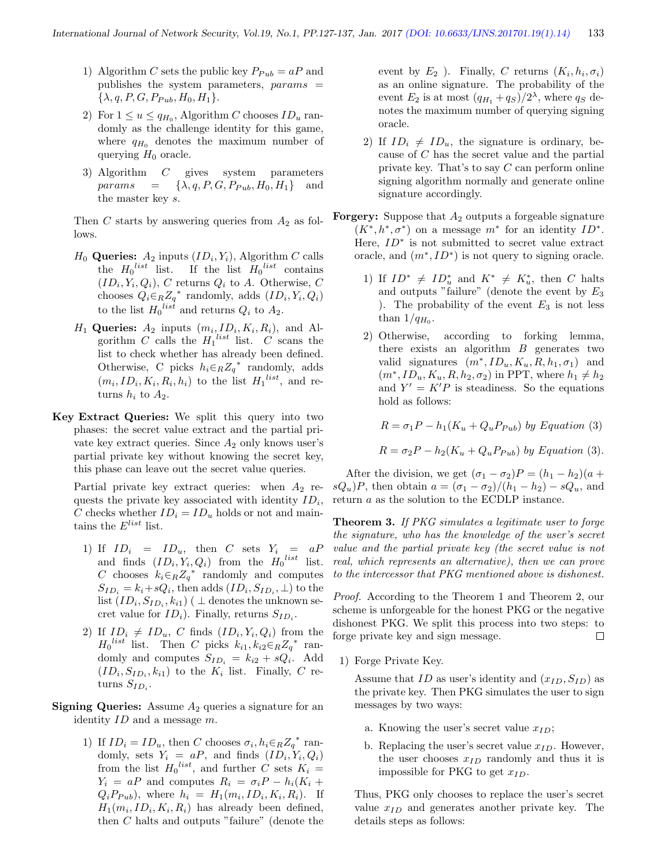- 1) Algorithm C sets the public key  $P_{Pub} = aP$  and publishes the system parameters, params =  $\{\lambda, q, P, G, P_{Pub}, H_0, H_1\}.$
- 2) For  $1 \le u \le q_{H_0}$ , Algorithm C chooses  $ID_u$  randomly as the challenge identity for this game, where  $q_{H_0}$  denotes the maximum number of querying  $H_0$  oracle.
- 3) Algorithm C gives system parameters  $params = {\lambda, q, P, G, P_{Pub}, H_0, H_1}$  and the master key s.

Then  $C$  starts by answering queries from  $A_2$  as follows.

- $H_0$  Queries:  $A_2$  inputs  $(ID_i, Y_i)$ , Algorithm C calls the  $H_0^{list}$  list. If the list  $H_0^{list}$  contains  $(ID_i, Y_i, Q_i), C$  returns  $Q_i$  to A. Otherwise, C chooses  $Q_i \in_R Z_q^*$  randomly, adds  $(ID_i, Y_i, Q_i)$ to the list  $H_0^{list}$  and returns  $Q_i$  to  $A_2$ .
- $H_1$  Queries:  $A_2$  inputs  $(m_i, ID_i, K_i, R_i)$ , and Algorithm C calls the  $H_1^{list}$  list. C scans the list to check whether has already been defined. Otherwise, C picks  $h_i \in_R Z_q^*$  randomly, adds  $(m_i, ID_i, K_i, R_i, h_i)$  to the list  $H_1^{list}$ , and returns  $h_i$  to  $A_2$ .
- Key Extract Queries: We split this query into two phases: the secret value extract and the partial private key extract queries. Since  $A_2$  only knows user's partial private key without knowing the secret key, this phase can leave out the secret value queries.

Partial private key extract queries: when  $A_2$  requests the private key associated with identity  $ID_i$ , C checks whether  $ID_i = ID_u$  holds or not and maintains the  $E^{list}$  list.

- 1) If  $ID_i = ID_u$ , then C sets  $Y_i = aP$ and finds  $(ID_i, Y_i, Q_i)$  from the  $H_0^{list}$  list. C chooses  $k_i \in_R Z_q^*$  randomly and computes  $S_{ID_i} = k_i + sQ_i$ , then adds  $(ID_i, S_{ID_i}, \perp)$  to the list  $(ID_i, S_{ID_i}, k_{i1})$  (  $\perp$  denotes the unknown secret value for  $ID_i$ ). Finally, returns  $S_{ID_i}$ .
- 2) If  $ID_i \neq ID_u$ , C finds  $(ID_i, Y_i, Q_i)$  from the  $H_0^{list}$  list. Then C picks  $k_{i1}, k_{i2} \in_R Z_q^*$  randomly and computes  $S_{ID_i} = k_{i2} + sQ_i$ . Add  $(ID_i, S_{ID_i}, k_{i1})$  to the  $K_i$  list. Finally, C returns  $S_{ID_i}$ .
- **Signing Queries:** Assume  $A_2$  queries a signature for an identity  $ID$  and a message  $m$ .
	- 1) If  $ID_i = ID_u$ , then C chooses  $\sigma_i, h_i \in_R Z_q^*$  randomly, sets  $Y_i = aP$ , and finds  $(ID_i, Y_i, Q_i)$ from the list  $H_0^{list}$ , and further C sets  $K_i =$  $Y_i = aP$  and computes  $R_i = \sigma_i P - h_i (K_i +$  $Q_i P_{Pub}$ , where  $h_i = H_1(m_i, ID_i, K_i, R_i)$ . If  $H_1(m_i, ID_i, K_i, R_i)$  has already been defined, then C halts and outputs "failure" (denote the

event by  $E_2$ ). Finally, C returns  $(K_i, h_i, \sigma_i)$ as an online signature. The probability of the event  $E_2$  is at most  $(q_{H_1} + q_S)/2^{\lambda}$ , where  $q_S$  denotes the maximum number of querying signing oracle.

- 2) If  $ID_i \neq ID_u$ , the signature is ordinary, because of C has the secret value and the partial private key. That's to say C can perform online signing algorithm normally and generate online signature accordingly.
- **Forgery:** Suppose that  $A_2$  outputs a forgeable signature  $(K^*, h^*, \sigma^*)$  on a message  $m^*$  for an identity  $ID^*$ . Here,  $ID^*$  is not submitted to secret value extract oracle, and  $(m^*, ID^*)$  is not query to signing oracle.
	- 1) If  $ID^* \neq ID_u^*$  and  $K^* \neq K_u^*$ , then C halts and outputs "failure" (denote the event by  $E_3$ ). The probability of the event  $E_3$  is not less than  $1/q_{H_0}$ .
	- 2) Otherwise, according to forking lemma, there exists an algorithm  $B$  generates two valid signatures  $(m^*, ID_u, K_u, R, h_1, \sigma_1)$  and  $(m^*, ID_u, K_u, R, h_2, \sigma_2)$  in PPT, where  $h_1 \neq h_2$ and  $Y' = K'P$  is steadiness. So the equations hold as follows:

$$
R = \sigma_1 P - h_1(K_u + Q_u P_{Pub}) \text{ by Equation (3)}
$$

 $R = \sigma_2 P - h_2(K_u + Q_u P_{Pub} )$  by Equation (3).

After the division, we get  $(\sigma_1 - \sigma_2)P = (h_1 - h_2)(a +$  $sQ_u$ )P, then obtain  $a = (\sigma_1 - \sigma_2)/(h_1 - h_2) - sQ_u$ , and return a as the solution to the ECDLP instance.

Theorem 3. If PKG simulates a legitimate user to forge the signature, who has the knowledge of the user's secret value and the partial private key (the secret value is not real, which represents an alternative), then we can prove to the intercessor that PKG mentioned above is dishonest.

Proof. According to the Theorem 1 and Theorem 2, our scheme is unforgeable for the honest PKG or the negative dishonest PKG. We split this process into two steps: to forge private key and sign message.  $\Box$ 

1) Forge Private Key.

Assume that  $ID$  as user's identity and  $(x_{ID}, S_{ID})$  as the private key. Then PKG simulates the user to sign messages by two ways:

- a. Knowing the user's secret value  $x_{ID}$ ;
- b. Replacing the user's secret value  $x_{ID}$ . However, the user chooses  $x_{ID}$  randomly and thus it is impossible for PKG to get  $x_{ID}$ .

Thus, PKG only chooses to replace the user's secret value  $x_{ID}$  and generates another private key. The details steps as follows: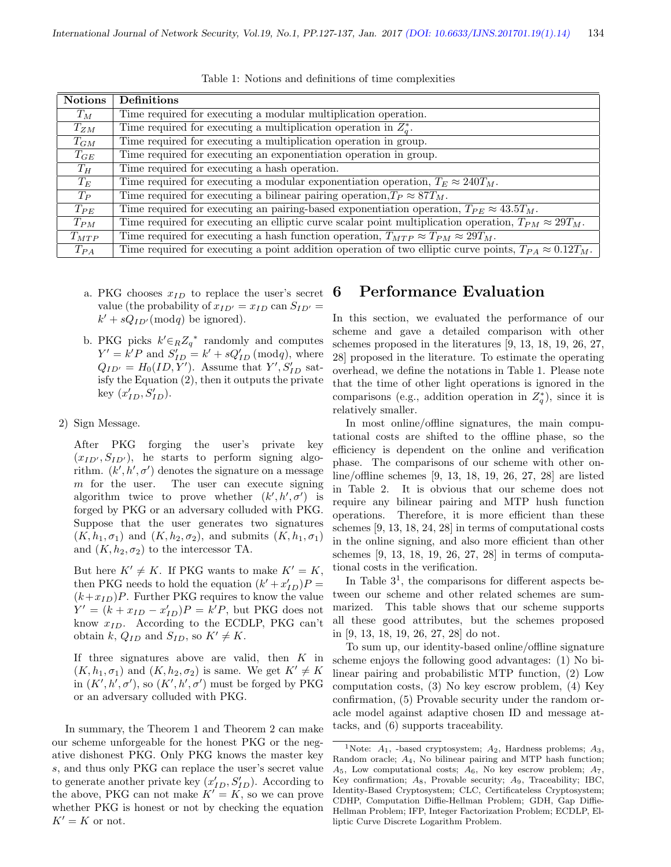| <b>Notions</b> | Definitions                                                                                                      |
|----------------|------------------------------------------------------------------------------------------------------------------|
| $T_M$          | Time required for executing a modular multiplication operation.                                                  |
| $T_{ZM}$       | Time required for executing a multiplication operation in $Z_{\sigma}^*$ .                                       |
| $T_{GM}$       | Time required for executing a multiplication operation in group.                                                 |
| $T_{GE}$       | Time required for executing an exponentiation operation in group.                                                |
| $T_H$          | Time required for executing a hash operation.                                                                    |
| $T_E\,$        | Time required for executing a modular exponentiation operation, $T_E \approx 240 T_M$ .                          |
| $T_P$          | Time required for executing a bilinear pairing operation, $T_P \approx 87T_M$ .                                  |
| $T_{PE}$       | Time required for executing an pairing-based exponentiation operation, $T_{PE} \approx 43.5 T_M$ .               |
| $T_{PM}$       | Time required for executing an elliptic curve scalar point multiplication operation, $T_{PM} \approx 29T_M$ .    |
| $T_{MTP}$      | Time required for executing a hash function operation, $T_{MTP} \approx T_{PM} \approx 29T_M$ .                  |
| $T_{PA}$       | Time required for executing a point addition operation of two elliptic curve points, $T_{PA} \approx 0.12 T_M$ . |

Table 1: Notions and definitions of time complexities

- a. PKG chooses  $x_{ID}$  to replace the user's secret value (the probability of  $x_{ID'} = x_{ID}$  can  $S_{ID'} =$  $k' + sQ_{ID'}(\bmod q)$  be ignored).
- b. PKG picks  $k' \in RZ_q^*$  randomly and computes  $Y' = k'P$  and  $S'_{ID} = k' + sQ'_{ID} \pmod{q}$ , where  $Q_{ID'} = H_0(ID, Y')$ . Assume that  $Y', S'_{ID}$  satisfy the Equation (2), then it outputs the private key  $(x'_{ID}, S'_{ID})$ .
- 2) Sign Message.

After PKG forging the user's private key  $(x_{ID'}, S_{ID'})$ , he starts to perform signing algorithm.  $(k', h', \sigma')$  denotes the signature on a message  $m$  for the user. The user can execute signing algorithm twice to prove whether  $(k', h', \sigma')$  is forged by PKG or an adversary colluded with PKG. Suppose that the user generates two signatures  $(K, h_1, \sigma_1)$  and  $(K, h_2, \sigma_2)$ , and submits  $(K, h_1, \sigma_1)$ and  $(K, h_2, \sigma_2)$  to the intercessor TA.

But here  $K' \neq K$ . If PKG wants to make  $K' = K$ , then PKG needs to hold the equation  $(k' + x'_{ID})P =$  $(k+x_{ID})P$ . Further PKG requires to know the value  $Y' = (k + x_{ID} - x'_{ID})P = k'P$ , but PKG does not know  $x_{ID}$ . According to the ECDLP, PKG can't obtain k,  $Q_{ID}$  and  $S_{ID}$ , so  $K' \neq K$ .

If three signatures above are valid, then  $K$  in  $(K, h_1, \sigma_1)$  and  $(K, h_2, \sigma_2)$  is same. We get  $K' \neq K$ in  $(K', h', \sigma')$ , so  $(K', h', \sigma')$  must be forged by PKG or an adversary colluded with PKG.

In summary, the Theorem 1 and Theorem 2 can make our scheme unforgeable for the honest PKG or the negative dishonest PKG. Only PKG knows the master key s, and thus only PKG can replace the user's secret value to generate another private key  $(x'_{ID}, S'_{ID})$ . According to the above, PKG can not make  $K' = K$ , so we can prove whether PKG is honest or not by checking the equation  $K' = K$  or not.

### 6 Performance Evaluation

In this section, we evaluated the performance of our scheme and gave a detailed comparison with other schemes proposed in the literatures [9, 13, 18, 19, 26, 27, 28] proposed in the literature. To estimate the operating overhead, we define the notations in Table 1. Please note that the time of other light operations is ignored in the comparisons (e.g., addition operation in  $Z_q^*$ ), since it is relatively smaller.

In most online/offline signatures, the main computational costs are shifted to the offline phase, so the efficiency is dependent on the online and verification phase. The comparisons of our scheme with other online/offline schemes [9, 13, 18, 19, 26, 27, 28] are listed in Table 2. It is obvious that our scheme does not require any bilinear pairing and MTP hush function operations. Therefore, it is more efficient than these schemes [9, 13, 18, 24, 28] in terms of computational costs in the online signing, and also more efficient than other schemes [9, 13, 18, 19, 26, 27, 28] in terms of computational costs in the verification.

In Table  $3<sup>1</sup>$ , the comparisons for different aspects between our scheme and other related schemes are summarized. This table shows that our scheme supports all these good attributes, but the schemes proposed in [9, 13, 18, 19, 26, 27, 28] do not.

To sum up, our identity-based online/offline signature scheme enjoys the following good advantages: (1) No bilinear pairing and probabilistic MTP function, (2) Low computation costs, (3) No key escrow problem, (4) Key confirmation, (5) Provable security under the random oracle model against adaptive chosen ID and message attacks, and (6) supports traceability.

<sup>&</sup>lt;sup>1</sup>Note:  $A_1$ , -based cryptosystem;  $A_2$ , Hardness problems;  $A_3$ , Random oracle; A4, No bilinear pairing and MTP hash function;  $A_5$ , Low computational costs;  $A_6$ , No key escrow problem;  $A_7$ , Key confirmation;  $A_8$ , Provable security;  $A_9$ , Traceability; IBC, Identity-Based Cryptosystem; CLC, Certificateless Cryptosystem; CDHP, Computation Diffie-Hellman Problem; GDH, Gap Diffie-Hellman Problem; IFP, Integer Factorization Problem; ECDLP, Elliptic Curve Discrete Logarithm Problem.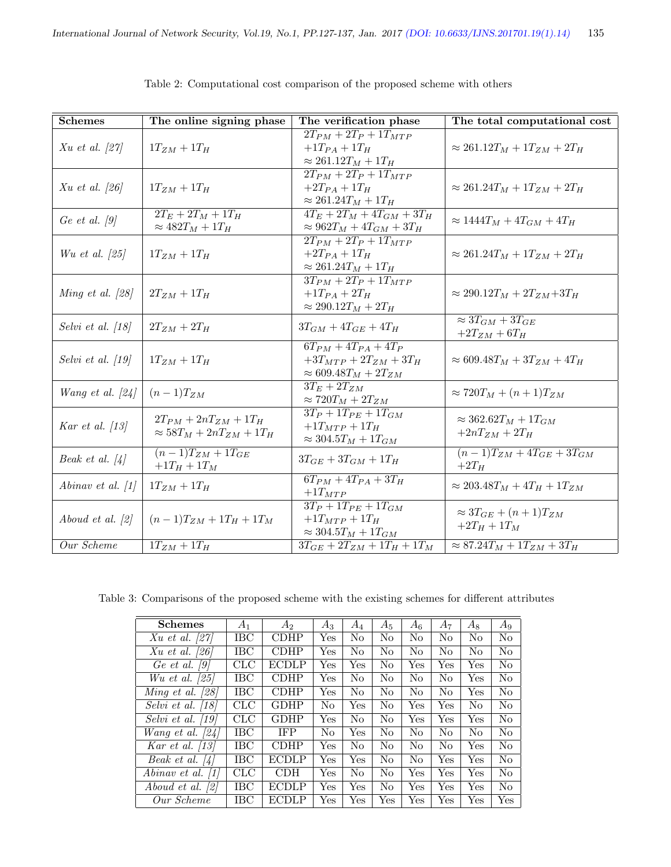| <b>Schemes</b>                    | The online signing phase                                         | The verification phase                                                                    | The total computational cost                      |  |  |
|-----------------------------------|------------------------------------------------------------------|-------------------------------------------------------------------------------------------|---------------------------------------------------|--|--|
| $Xu$ et al. [27]                  | $1T_{ZM}+1T_H$                                                   | $2T_{PM} + 2T_P + 1T_{MTP}$<br>$+1T_{PA}+1T_{H}$<br>$\approx 261.12T_M + 1T_H$            | $\approx 261.12T_M + 1T_{ZM} + 2T_H$              |  |  |
| Xu et al. $[26]$                  | $1T_{ZM}+1T_H$                                                   | $2T_{PM} + 2T_P + 1T_{MTP}$<br>$+2T_{PA} + 1T_{H}$<br>$\approx 261.24 T_M + 1 T_H$        | $\approx 261.24T_M + 1T_{ZM} + 2T_H$              |  |  |
| Ge et al. $[9]$                   | $2T_E + 2T_M + 1T_H$<br>$\approx 482T_M+1T_H$                    | $4T_E + 2T_M + 4T_{GM} + 3T_H$<br>$\approx 962T_M + 4T_{GM} + 3T_H$                       | $\approx 1444T_M + 4T_{GM} + 4T_H$                |  |  |
| <i>Wu et al.</i> $[25]$           | $1T_{ZM} + 1T_H$                                                 | $2T_{PM} + 2T_P + 1T_{MTP}$<br>$+2T_{PA}+1T_{H}$<br>$\approx 261.24T_M + 1T_H$            | $\approx 261.24T_M + 1T_{ZM} + 2T_H$              |  |  |
| Ming et al. $[28]$                | $2T_{ZM}+1T_H$                                                   | $3T_{PM} + 2T_P + 1T_{MTP}$<br>$+1T_{PA} + 2T_{H}$<br>$\approx 290.12T_M + 2T_H$          | $\approx 290.12T_M + 2T_{ZM} + 3T_H$              |  |  |
| Selvi et al. $[18]$               | $2T_{ZM}+2T_H$                                                   | $3T_{GM} + 4T_{GE} + 4T_H$                                                                | $\approx 3T_{GM}+3T_{GE}$<br>$+2T_{ZM}+6T_{H}$    |  |  |
| Selvi et al. $\langle 19 \rangle$ | $1T_{ZM}+1T_H$                                                   | $6T_{PM} + 4T_{PA} + 4T_P$<br>$+3T_{MTP}+2T_{ZM}+3T_{H}$<br>$\approx 609.48T_M + 2T_{ZM}$ | $\approx 609.48T_M + 3T_{ZM} + 4T_H$              |  |  |
| <i>Wang et al.</i> $[24]$         | $(n-1)T_{ZM}$                                                    | $3T_E + 2T_{ZM}$<br>$\approx 720T_M + 2T_{ZM}$                                            | $\approx 720T_M + (n+1)T_{ZM}$                    |  |  |
| Kar et al. $\langle 13 \rangle$   | $2T_{PM} + 2nT_{ZM} + 1T_H$<br>$\approx 58T_M + 2nT_{ZM} + 1T_H$ | $3T_P + 1T_{PE} + 1T_{GM}$<br>$+1T_{MTP}+1T_H$<br>$\approx 304.5T_M + 1T_{GM}$            | $\approx 362.62T_M + 1T_{GM}$<br>$+2nT_{ZM}+2T_H$ |  |  |
| Beak et al. $[4]$                 | $(n-1)T_{ZM}+1T_{GE}$<br>$+1T_{H}+1T_{M}$                        | $3T_{GE} + 3T_{GM} + 1T_H$                                                                | $(n-1)T_{ZM} + 4T_{GE} + 3T_{GM}$<br>$+2T_H$      |  |  |
| Abinav et al. $[1]$               | $1T_{ZM}+1T_H$                                                   | $6T_{PM} + 4T_{PA} + 3T_H$<br>$+1T_{MTP}$                                                 | $\approx 203.48T_M+4T_H+1T_{ZM}$                  |  |  |
| Aboud et al. $[2]$                | $(n-1)T_{ZM} + 1T_H + 1T_M$                                      | $\overline{3T_P} + 1T_{PE} + 1T_{GM}$<br>$+1T_{MTP}+1T_H$<br>$\approx 304.5T_M + 1T_{GM}$ | $\approx 3T_{GE} + (n+1)T_{ZM}$<br>$+2T_H+1T_M$   |  |  |
| Our Scheme                        | $1T_{ZM} + 1T_H$                                                 | $3T_{GE} + 2T_{ZM} + 1T_H + 1T_M$                                                         | $\approx 87.24T_M + 1T_{ZM} + 3T_H$               |  |  |

Table 2: Computational cost comparison of the proposed scheme with others

Table 3: Comparisons of the proposed scheme with the existing schemes for different attributes

| <b>Schemes</b>          | A <sub>1</sub> | A <sub>2</sub> | $A_3$          | $A_4$          | $A_5$    | $A_6$                | $A_7$                | $A_8$          | $A_9$          |
|-------------------------|----------------|----------------|----------------|----------------|----------|----------------------|----------------------|----------------|----------------|
| $Xu$ et al. $ 27 $      | IBC            | <b>CDHP</b>    | Yes            | No             | No       | No                   | No                   | No             | N <sub>o</sub> |
| <i>Xu et al.</i> [26]   | <b>IBC</b>     | <b>CDHP</b>    | Yes            | N <sub>0</sub> | No       | No                   | No                   | No             | No             |
| Ge et al. $ 9 $         | CLC            | <b>ECDLP</b>   | Yes            | Yes            | No       | $\operatorname{Yes}$ | $\operatorname{Yes}$ | Yes            | N <sub>o</sub> |
| <i>Wu et al.</i> $ 25 $ | IBC            | <b>CDHP</b>    | Yes            | N <sub>0</sub> | No       | No                   | No                   | Yes            | No             |
| Ming et al. $ 28 $      | IBC            | <b>CDHP</b>    | Yes            | No             | No       | No                   | No                   | Yes            | N <sub>o</sub> |
| Selvi et al. [18]       | CLC            | GDHP           | N <sub>0</sub> | Yes            | $\rm No$ | $\operatorname{Yes}$ | Yes                  | N <sub>o</sub> | N <sub>o</sub> |
| Selvi et al. [19]       | CLC            | <b>GDHP</b>    | Yes            | No             | No       | Yes                  | Yes                  | Yes            | N <sub>o</sub> |
| Wang et al. $ 24 $      | IBC            | <b>IFP</b>     | No             | Yes            | No       | No                   | No                   | No             | No             |
| <i>Kar et al.</i> [13]  | <b>IBC</b>     | <b>CDHP</b>    | Yes            | No             | No       | No                   | No                   | Yes            | No             |
| Beak et al. $ 4 $       | <b>IBC</b>     | <b>ECDLP</b>   | Yes            | Yes            | No       | No                   | Yes                  | Yes            | No             |
| Abinav et al. [1]       | CLC            | <b>CDH</b>     | $_{\rm Yes}$   | N <sub>0</sub> | No       | $\operatorname{Yes}$ | $\operatorname{Yes}$ | Yes            | N <sub>o</sub> |
| Aboud et al. $ 2 $      | IBC            | <b>ECDLP</b>   | Yes            | Yes            | No       | $\operatorname{Yes}$ | $\operatorname{Yes}$ | Yes            | No             |
| Our Scheme              | <b>IBC</b>     | <b>ECDLP</b>   | Yes            | Yes            | Yes      | Yes                  | Yes                  | $_{\rm Yes}$   | Yes            |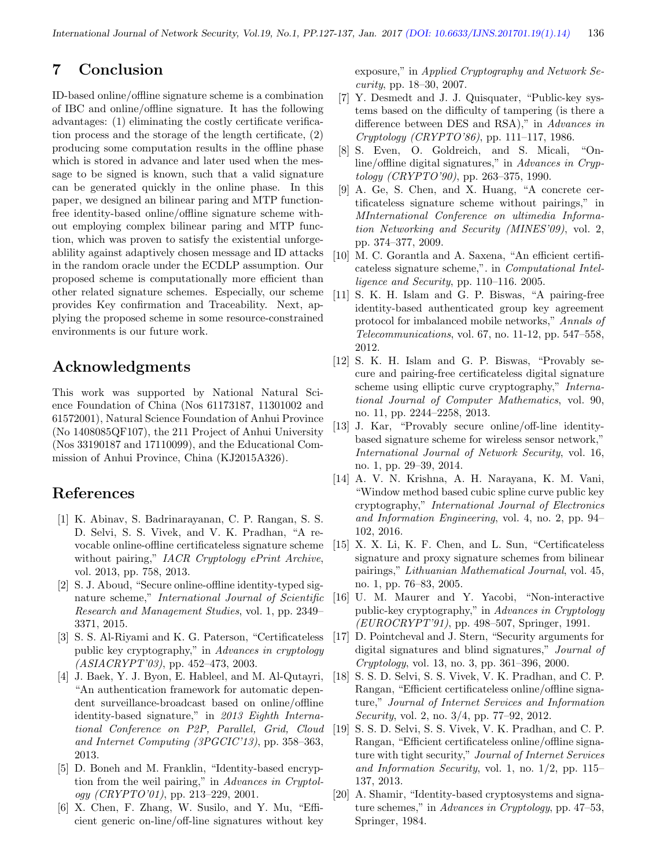## 7 Conclusion

ID-based online/offline signature scheme is a combination of IBC and online/offline signature. It has the following advantages: (1) eliminating the costly certificate verification process and the storage of the length certificate, (2) producing some computation results in the offline phase which is stored in advance and later used when the message to be signed is known, such that a valid signature can be generated quickly in the online phase. In this paper, we designed an bilinear paring and MTP functionfree identity-based online/offline signature scheme without employing complex bilinear paring and MTP function, which was proven to satisfy the existential unforgeablility against adaptively chosen message and ID attacks in the random oracle under the ECDLP assumption. Our proposed scheme is computationally more efficient than other related signature schemes. Especially, our scheme provides Key confirmation and Traceability. Next, applying the proposed scheme in some resource-constrained environments is our future work.

# Acknowledgments

This work was supported by National Natural Science Foundation of China (Nos 61173187, 11301002 and 61572001), Natural Science Foundation of Anhui Province (No 1408085QF107), the 211 Project of Anhui University (Nos 33190187 and 17110099), and the Educational Commission of Anhui Province, China (KJ2015A326).

## References

- [1] K. Abinav, S. Badrinarayanan, C. P. Rangan, S. S. D. Selvi, S. S. Vivek, and V. K. Pradhan, "A revocable online-offline certificateless signature scheme without pairing," IACR Cryptology ePrint Archive, vol. 2013, pp. 758, 2013.
- [2] S. J. Aboud, "Secure online-offline identity-typed signature scheme," International Journal of Scientific Research and Management Studies, vol. 1, pp. 2349– 3371, 2015.
- [3] S. S. Al-Riyami and K. G. Paterson, "Certificateless public key cryptography," in Advances in cryptology (ASIACRYPT'03), pp. 452–473, 2003.
- [4] J. Baek, Y. J. Byon, E. Hableel, and M. Al-Qutayri, "An authentication framework for automatic dependent surveillance-broadcast based on online/offline identity-based signature," in 2013 Eighth International Conference on P2P, Parallel, Grid, Cloud and Internet Computing (3PGCIC'13), pp. 358–363, 2013.
- [5] D. Boneh and M. Franklin, "Identity-based encryption from the weil pairing," in Advances in Cryptol $oqy$  (CRYPTO'01), pp. 213–229, 2001.
- [6] X. Chen, F. Zhang, W. Susilo, and Y. Mu, "Efficient generic on-line/off-line signatures without key

exposure," in Applied Cryptography and Network Security, pp. 18–30, 2007.

- [7] Y. Desmedt and J. J. Quisquater, "Public-key systems based on the difficulty of tampering (is there a difference between DES and RSA)," in Advances in Cryptology (CRYPTO'86), pp. 111–117, 1986.
- [8] S. Even, O. Goldreich, and S. Micali, "Online/offline digital signatures," in Advances in Cryptology (CRYPTO'90), pp. 263–375, 1990.
- [9] A. Ge, S. Chen, and X. Huang, "A concrete certificateless signature scheme without pairings," in MInternational Conference on ultimedia Information Networking and Security (MINES'09), vol. 2, pp. 374–377, 2009.
- [10] M. C. Gorantla and A. Saxena, "An efficient certificateless signature scheme,". in Computational Intelligence and Security, pp. 110–116. 2005.
- [11] S. K. H. Islam and G. P. Biswas, "A pairing-free identity-based authenticated group key agreement protocol for imbalanced mobile networks," Annals of Telecommunications, vol. 67, no. 11-12, pp. 547–558, 2012.
- [12] S. K. H. Islam and G. P. Biswas, "Provably secure and pairing-free certificateless digital signature scheme using elliptic curve cryptography," International Journal of Computer Mathematics, vol. 90, no. 11, pp. 2244–2258, 2013.
- [13] J. Kar, "Provably secure online/off-line identitybased signature scheme for wireless sensor network," International Journal of Network Security, vol. 16, no. 1, pp. 29–39, 2014.
- [14] A. V. N. Krishna, A. H. Narayana, K. M. Vani, "Window method based cubic spline curve public key cryptography," International Journal of Electronics and Information Engineering, vol. 4, no. 2, pp. 94– 102, 2016.
- [15] X. X. Li, K. F. Chen, and L. Sun, "Certificateless signature and proxy signature schemes from bilinear pairings," Lithuanian Mathematical Journal, vol. 45, no. 1, pp. 76–83, 2005.
- [16] U. M. Maurer and Y. Yacobi, "Non-interactive public-key cryptography," in Advances in Cryptology  $(EUROCRYPT'91)$ , pp. 498–507, Springer, 1991.
- [17] D. Pointcheval and J. Stern, "Security arguments for digital signatures and blind signatures," Journal of Cryptology, vol. 13, no. 3, pp. 361–396, 2000.
- [18] S. S. D. Selvi, S. S. Vivek, V. K. Pradhan, and C. P. Rangan, "Efficient certificateless online/offline signature," Journal of Internet Services and Information Security, vol. 2, no. 3/4, pp. 77–92, 2012.
- [19] S. S. D. Selvi, S. S. Vivek, V. K. Pradhan, and C. P. Rangan, "Efficient certificateless online/offline signature with tight security," Journal of Internet Services and Information Security, vol. 1, no.  $1/2$ , pp. 115– 137, 2013.
- [20] A. Shamir, "Identity-based cryptosystems and signature schemes," in Advances in Cryptology, pp. 47–53, Springer, 1984.